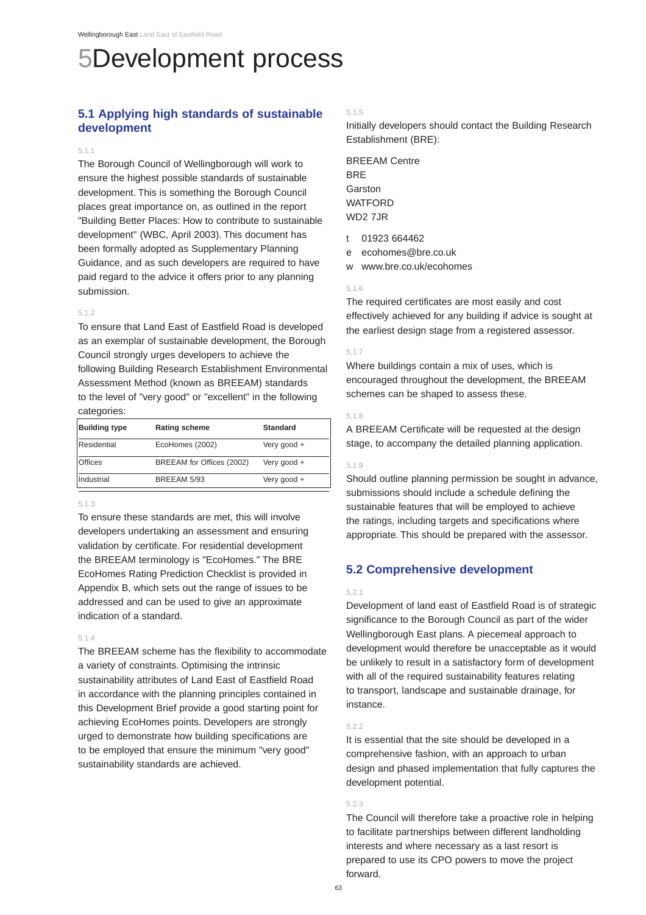# 5Development process

## **5.1 Applying high standards of sustainable development**

### 5.1.1

The Borough Council of Wellingborough will work to ensure the highest possible standards of sustainable development. This is something the Borough Council places great importance on, as outlined in the report "Building Better Places: How to contribute to sustainable development" (WBC, April 2003). This document has been formally adopted as Supplementary Planning Guidance, and as such developers are required to have paid regard to the advice it offers prior to any planning submission.

#### 5.1.2

To ensure that Land East of Eastfield Road is developed as an exemplar of sustainable development, the Borough Council strongly urges developers to achieve the following Building Research Establishment Environmental Assessment Method (known as BREEAM) standards to the level of "very good" or "excellent" in the following categories:

| <b>Building type</b> | Rating scheme             | <b>Standard</b> |
|----------------------|---------------------------|-----------------|
| Residential          | EcoHomes (2002)           | Very good +     |
| <b>Offices</b>       | BREEAM for Offices (2002) | Very good +     |
| Industrial           | BREEAM 5/93               | Very good +     |

#### 5.1.3

To ensure these standards are met, this will involve developers undertaking an assessment and ensuring validation by certificate. For residential development the BREEAM terminology is "EcoHomes." The BRE EcoHomes Rating Prediction Checklist is provided in Appendix B, which sets out the range of issues to be addressed and can be used to give an approximate indication of a standard.

#### 5.1.4

The BREEAM scheme has the flexibility to accommodate a variety of constraints. Optimising the intrinsic sustainability attributes of Land East of Eastfield Road in accordance with the planning principles contained in this Development Brief provide a good starting point for achieving EcoHomes points. Developers are strongly urged to demonstrate how building specifications are to be employed that ensure the minimum "very good" sustainability standards are achieved.

## 5.1.5

Initially developers should contact the Building Research Establishment (BRE):

BREEAM Centre **BRF** Garston WATFORD WD2 7JR

- t 01923 664462
- e ecohomes@bre.co.uk
- w www.bre.co.uk/ecohomes

#### 5.1.6

The required certificates are most easily and cost effectively achieved for any building if advice is sought at the earliest design stage from a registered assessor.

#### 5.1.7

Where buildings contain a mix of uses, which is encouraged throughout the development, the BREEAM schemes can be shaped to assess these.

#### 5.1.8

A BREEAM Certificate will be requested at the design stage, to accompany the detailed planning application.

#### 5.1.9

Should outline planning permission be sought in advance, submissions should include a schedule defining the sustainable features that will be employed to achieve the ratings, including targets and specifications where appropriate. This should be prepared with the assessor.

## **5.2 Comprehensive development**

#### 5.2.1

Development of land east of Eastfield Road is of strategic significance to the Borough Council as part of the wider Wellingborough East plans. A piecemeal approach to development would therefore be unacceptable as it would be unlikely to result in a satisfactory form of development with all of the required sustainability features relating to transport, landscape and sustainable drainage, for instance.

#### 522

It is essential that the site should be developed in a comprehensive fashion, with an approach to urban design and phased implementation that fully captures the development potential.

#### 5.2.3

The Council will therefore take a proactive role in helping to facilitate partnerships between different landholding interests and where necessary as a last resort is prepared to use its CPO powers to move the project forward.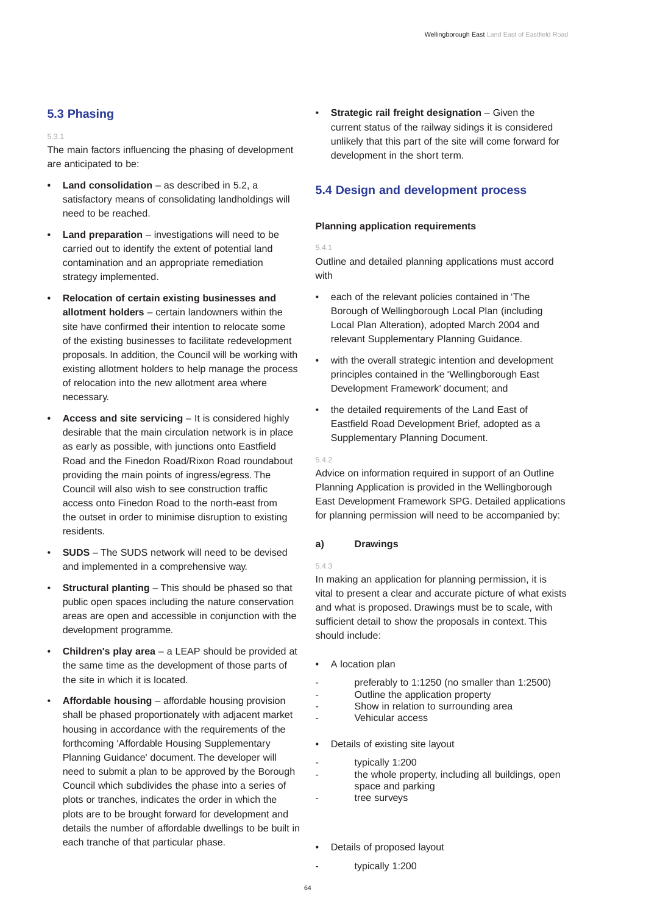## **5.3 Phasing**

#### 5.3.1

The main factors influencing the phasing of development are anticipated to be:

- **Land consolidation** as described in 5.2, a satisfactory means of consolidating landholdings will need to be reached.
- **Land preparation** investigations will need to be carried out to identify the extent of potential land contamination and an appropriate remediation strategy implemented.
- **Relocation of certain existing businesses and allotment holders** – certain landowners within the site have confirmed their intention to relocate some of the existing businesses to facilitate redevelopment proposals. In addition, the Council will be working with existing allotment holders to help manage the process of relocation into the new allotment area where necessary.
- **Access and site servicing** It is considered highly desirable that the main circulation network is in place as early as possible, with junctions onto Eastfield Road and the Finedon Road/Rixon Road roundabout providing the main points of ingress/egress. The Council will also wish to see construction traffic access onto Finedon Road to the north-east from the outset in order to minimise disruption to existing residents.
- **SUDS**  The SUDS network will need to be devised and implemented in a comprehensive way.
- **Structural planting** This should be phased so that public open spaces including the nature conservation areas are open and accessible in conjunction with the development programme.
- **Children's play area** a LEAP should be provided at the same time as the development of those parts of the site in which it is located.
- **Affordable housing** affordable housing provision shall be phased proportionately with adjacent market housing in accordance with the requirements of the forthcoming 'Affordable Housing Supplementary Planning Guidance' document. The developer will need to submit a plan to be approved by the Borough Council which subdivides the phase into a series of plots or tranches, indicates the order in which the plots are to be brought forward for development and details the number of affordable dwellings to be built in each tranche of that particular phase.

**Strategic rail freight designation** – Given the current status of the railway sidings it is considered unlikely that this part of the site will come forward for development in the short term.

## **5.4 Design and development process**

#### **Planning application requirements**

#### 5.4.1

Outline and detailed planning applications must accord with

- each of the relevant policies contained in 'The Borough of Wellingborough Local Plan (including Local Plan Alteration), adopted March 2004 and relevant Supplementary Planning Guidance.
- with the overall strategic intention and development principles contained in the 'Wellingborough East Development Framework' document; and
- the detailed requirements of the Land East of Eastfield Road Development Brief, adopted as a Supplementary Planning Document.

#### 5.4.2

Advice on information required in support of an Outline Planning Application is provided in the Wellingborough East Development Framework SPG. Detailed applications for planning permission will need to be accompanied by:

#### **a) Drawings**

#### 5.4.3

In making an application for planning permission, it is vital to present a clear and accurate picture of what exists and what is proposed. Drawings must be to scale, with sufficient detail to show the proposals in context. This should include:

- A location plan
- preferably to 1:1250 (no smaller than 1:2500)
- Outline the application property
- Show in relation to surrounding area
- Vehicular access
- Details of existing site layout
	- typically 1:200
	- the whole property, including all buildings, open space and parking
	- tree surveys
- Details of proposed layout
- typically 1:200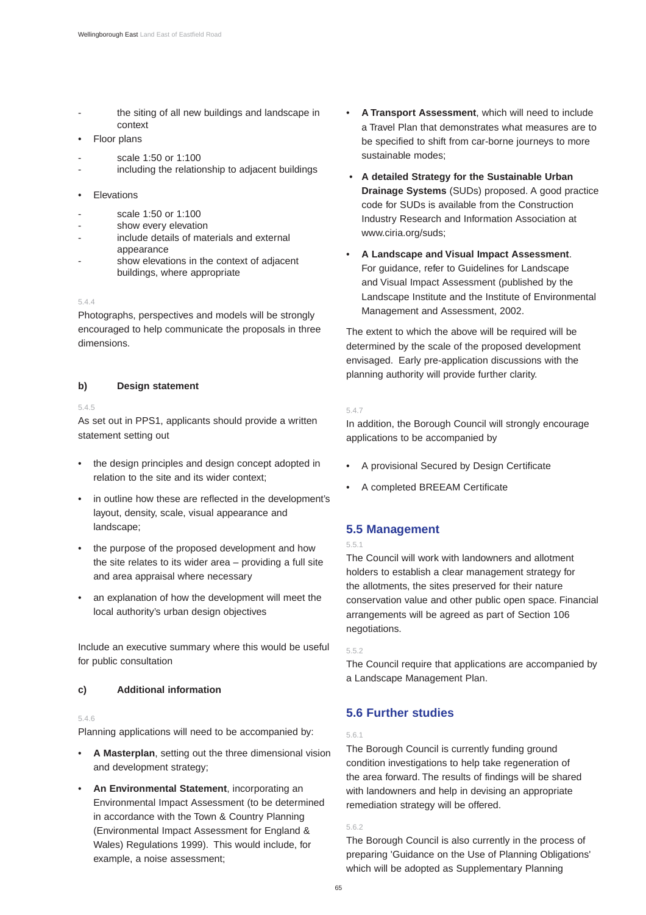- the siting of all new buildings and landscape in context
- Floor plans
- scale 1:50 or 1:100
- including the relationship to adjacent buildings
- **Elevations**
- scale 1:50 or 1:100
- show every elevation
- include details of materials and external appearance
- show elevations in the context of adjacent buildings, where appropriate

#### 5.4.4

Photographs, perspectives and models will be strongly encouraged to help communicate the proposals in three dimensions.

### **b) Design statement**

#### 5.4.5

As set out in PPS1, applicants should provide a written statement setting out

- the design principles and design concept adopted in relation to the site and its wider context;
- in outline how these are reflected in the development's layout, density, scale, visual appearance and landscape;
- the purpose of the proposed development and how the site relates to its wider area – providing a full site and area appraisal where necessary
- an explanation of how the development will meet the local authority's urban design objectives

Include an executive summary where this would be useful for public consultation

#### **c) Additional information**

#### 5.4.6

Planning applications will need to be accompanied by:

- **A Masterplan**, setting out the three dimensional vision and development strategy;
- **An Environmental Statement**, incorporating an Environmental Impact Assessment (to be determined in accordance with the Town & Country Planning (Environmental Impact Assessment for England & Wales) Regulations 1999). This would include, for example, a noise assessment;
- **A Transport Assessment**, which will need to include a Travel Plan that demonstrates what measures are to be specified to shift from car-borne journeys to more sustainable modes;
- **A detailed Strategy for the Sustainable Urban Drainage Systems** (SUDs) proposed. A good practice code for SUDs is available from the Construction Industry Research and Information Association at www.ciria.org/suds;
- **A Landscape and Visual Impact Assessment**. For guidance, refer to Guidelines for Landscape and Visual Impact Assessment (published by the Landscape Institute and the Institute of Environmental Management and Assessment, 2002.

The extent to which the above will be required will be determined by the scale of the proposed development envisaged. Early pre-application discussions with the planning authority will provide further clarity.

#### 5.4.7

In addition, the Borough Council will strongly encourage applications to be accompanied by

- A provisional Secured by Design Certificate
- A completed BREEAM Certificate

## **5.5 Management**

#### 5.5.1

The Council will work with landowners and allotment holders to establish a clear management strategy for the allotments, the sites preserved for their nature conservation value and other public open space. Financial arrangements will be agreed as part of Section 106 negotiations.

#### 5.5.2

The Council require that applications are accompanied by a Landscape Management Plan.

## **5.6 Further studies**

#### 5.6.1

The Borough Council is currently funding ground condition investigations to help take regeneration of the area forward. The results of findings will be shared with landowners and help in devising an appropriate remediation strategy will be offered.

5.6.2

The Borough Council is also currently in the process of preparing 'Guidance on the Use of Planning Obligations' which will be adopted as Supplementary Planning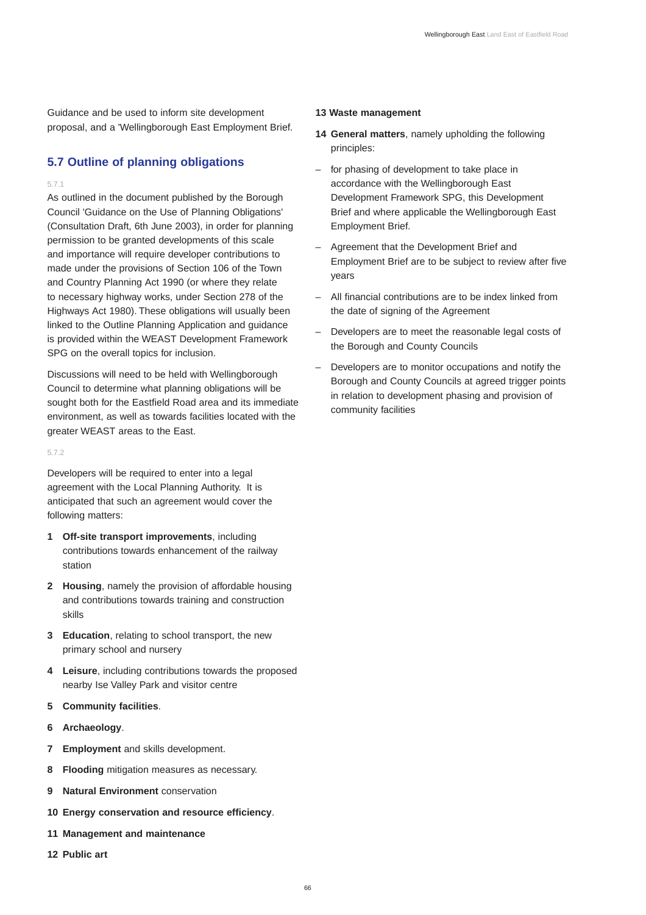Guidance and be used to inform site development proposal, and a 'Wellingborough East Employment Brief.

## **5.7 Outline of planning obligations**

#### 5.7.1

As outlined in the document published by the Borough Council 'Guidance on the Use of Planning Obligations' (Consultation Draft, 6th June 2003), in order for planning permission to be granted developments of this scale and importance will require developer contributions to made under the provisions of Section 106 of the Town and Country Planning Act 1990 (or where they relate to necessary highway works, under Section 278 of the Highways Act 1980). These obligations will usually been linked to the Outline Planning Application and guidance is provided within the WEAST Development Framework SPG on the overall topics for inclusion.

Discussions will need to be held with Wellingborough Council to determine what planning obligations will be sought both for the Eastfield Road area and its immediate environment, as well as towards facilities located with the greater WEAST areas to the East.

5.7.2

Developers will be required to enter into a legal agreement with the Local Planning Authority. It is anticipated that such an agreement would cover the following matters:

- **1 Off-site transport improvements**, including contributions towards enhancement of the railway station
- **2 Housing**, namely the provision of affordable housing and contributions towards training and construction skills
- **3 Education**, relating to school transport, the new primary school and nursery
- **4 Leisure**, including contributions towards the proposed nearby Ise Valley Park and visitor centre
- **5 Community facilities**.
- **6 Archaeology**.
- **7 Employment** and skills development.
- **8 Flooding** mitigation measures as necessary.
- **9 Natural Environment** conservation
- **10 Energy conservation and resource efficiency**.
- **11 Management and maintenance**
- **12 Public art**

#### **13 Waste management**

- **14 General matters**, namely upholding the following principles:
- for phasing of development to take place in accordance with the Wellingborough East Development Framework SPG, this Development Brief and where applicable the Wellingborough East Employment Brief.
- Agreement that the Development Brief and Employment Brief are to be subject to review after five years
- All financial contributions are to be index linked from the date of signing of the Agreement
- Developers are to meet the reasonable legal costs of the Borough and County Councils
- Developers are to monitor occupations and notify the Borough and County Councils at agreed trigger points in relation to development phasing and provision of community facilities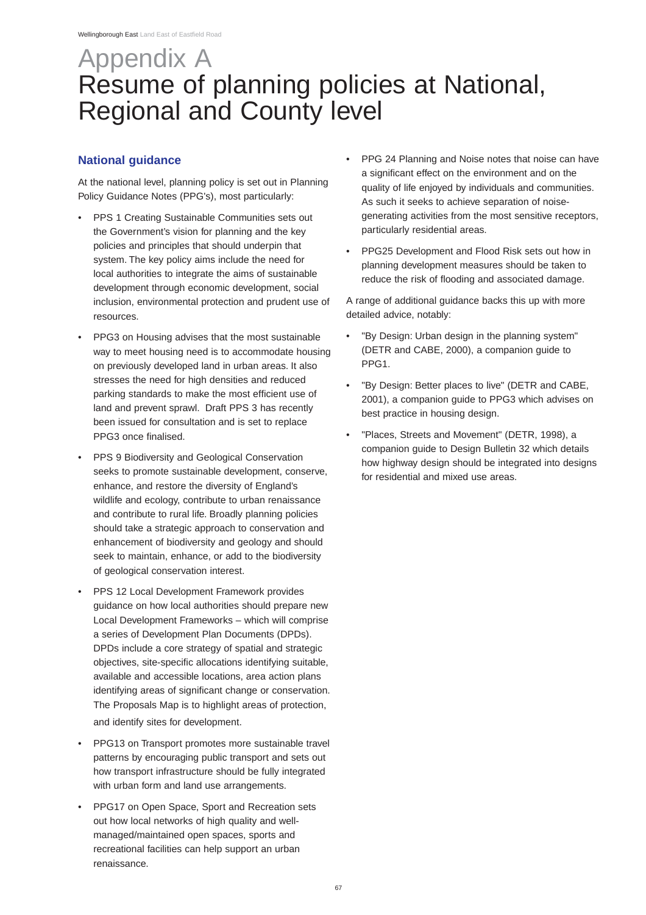## Appendix A Resume of planning policies at National, Regional and County level

## **National guidance**

At the national level, planning policy is set out in Planning Policy Guidance Notes (PPG's), most particularly:

- PPS 1 Creating Sustainable Communities sets out the Government's vision for planning and the key policies and principles that should underpin that system. The key policy aims include the need for local authorities to integrate the aims of sustainable development through economic development, social inclusion, environmental protection and prudent use of resources.
- PPG3 on Housing advises that the most sustainable way to meet housing need is to accommodate housing on previously developed land in urban areas. It also stresses the need for high densities and reduced parking standards to make the most efficient use of land and prevent sprawl. Draft PPS 3 has recently been issued for consultation and is set to replace PPG3 once finalised.
- PPS 9 Biodiversity and Geological Conservation seeks to promote sustainable development, conserve, enhance, and restore the diversity of England's wildlife and ecology, contribute to urban renaissance and contribute to rural life. Broadly planning policies should take a strategic approach to conservation and enhancement of biodiversity and geology and should seek to maintain, enhance, or add to the biodiversity of geological conservation interest.
- PPS 12 Local Development Framework provides guidance on how local authorities should prepare new Local Development Frameworks – which will comprise a series of Development Plan Documents (DPDs). DPDs include a core strategy of spatial and strategic objectives, site-specific allocations identifying suitable, available and accessible locations, area action plans identifying areas of significant change or conservation. The Proposals Map is to highlight areas of protection,

and identify sites for development.

- PPG13 on Transport promotes more sustainable travel patterns by encouraging public transport and sets out how transport infrastructure should be fully integrated with urban form and land use arrangements.
- PPG17 on Open Space, Sport and Recreation sets out how local networks of high quality and wellmanaged/maintained open spaces, sports and recreational facilities can help support an urban renaissance.
- PPG 24 Planning and Noise notes that noise can have a significant effect on the environment and on the quality of life enjoyed by individuals and communities. As such it seeks to achieve separation of noisegenerating activities from the most sensitive receptors, particularly residential areas.
- PPG25 Development and Flood Risk sets out how in planning development measures should be taken to reduce the risk of flooding and associated damage.

A range of additional guidance backs this up with more detailed advice, notably:

- "By Design: Urban design in the planning system" (DETR and CABE, 2000), a companion guide to PPG1.
- "By Design: Better places to live" (DETR and CABE, 2001), a companion guide to PPG3 which advises on best practice in housing design.
- "Places, Streets and Movement" (DETR, 1998), a companion guide to Design Bulletin 32 which details how highway design should be integrated into designs for residential and mixed use areas.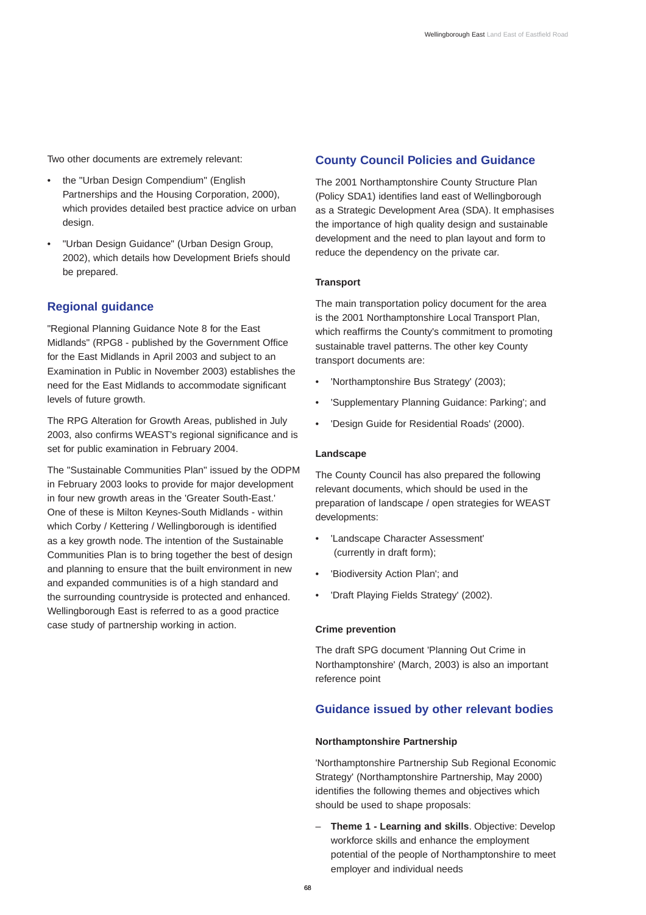Two other documents are extremely relevant:

- the "Urban Design Compendium" (English Partnerships and the Housing Corporation, 2000), which provides detailed best practice advice on urban design.
- "Urban Design Guidance" (Urban Design Group, 2002), which details how Development Briefs should be prepared.

## **Regional guidance**

"Regional Planning Guidance Note 8 for the East Midlands" (RPG8 - published by the Government Office for the East Midlands in April 2003 and subject to an Examination in Public in November 2003) establishes the need for the East Midlands to accommodate significant levels of future growth.

The RPG Alteration for Growth Areas, published in July 2003, also confirms WEAST's regional significance and is set for public examination in February 2004.

The "Sustainable Communities Plan" issued by the ODPM in February 2003 looks to provide for major development in four new growth areas in the 'Greater South-East.' One of these is Milton Keynes-South Midlands - within which Corby / Kettering / Wellingborough is identified as a key growth node. The intention of the Sustainable Communities Plan is to bring together the best of design and planning to ensure that the built environment in new and expanded communities is of a high standard and the surrounding countryside is protected and enhanced. Wellingborough East is referred to as a good practice case study of partnership working in action.

**County Council Policies and Guidance**

The 2001 Northamptonshire County Structure Plan (Policy SDA1) identifies land east of Wellingborough as a Strategic Development Area (SDA). It emphasises the importance of high quality design and sustainable development and the need to plan layout and form to reduce the dependency on the private car.

#### **Transport**

The main transportation policy document for the area is the 2001 Northamptonshire Local Transport Plan, which reaffirms the County's commitment to promoting sustainable travel patterns. The other key County transport documents are:

- 'Northamptonshire Bus Strategy' (2003);
- 'Supplementary Planning Guidance: Parking'; and
- 'Design Guide for Residential Roads' (2000).

#### **Landscape**

The County Council has also prepared the following relevant documents, which should be used in the preparation of landscape / open strategies for WEAST developments:

- 'Landscape Character Assessment' (currently in draft form);
- 'Biodiversity Action Plan'; and
- 'Draft Playing Fields Strategy' (2002).

#### **Crime prevention**

The draft SPG document 'Planning Out Crime in Northamptonshire' (March, 2003) is also an important reference point

## **Guidance issued by other relevant bodies**

### **Northamptonshire Partnership**

'Northamptonshire Partnership Sub Regional Economic Strategy' (Northamptonshire Partnership, May 2000) identifies the following themes and objectives which should be used to shape proposals:

– **Theme 1 - Learning and skills**. Objective: Develop workforce skills and enhance the employment potential of the people of Northamptonshire to meet employer and individual needs

Wellingborough East Land East of Eastfield Road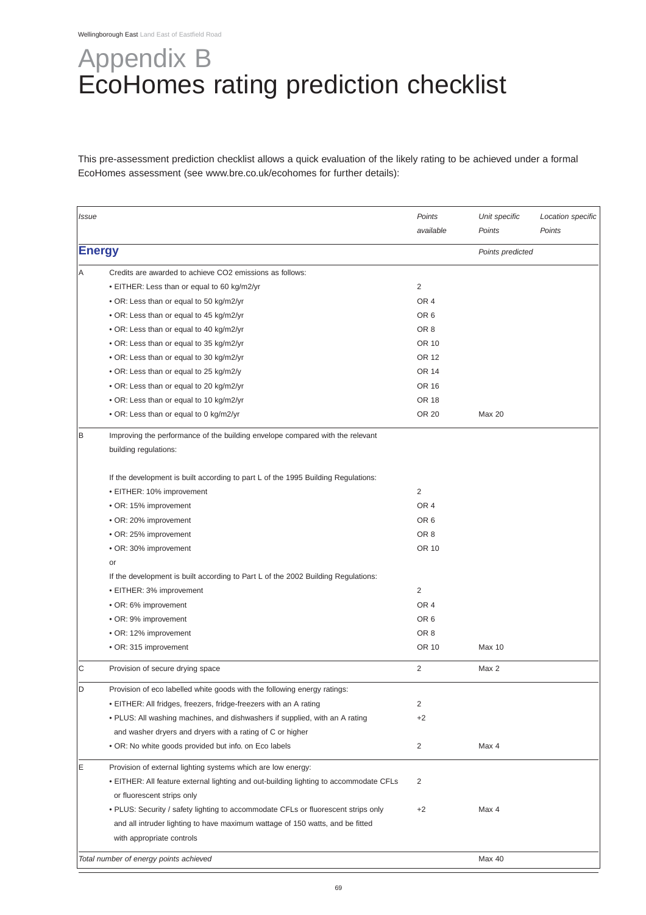## Appendix B EcoHomes rating prediction checklist

This pre-assessment prediction checklist allows a quick evaluation of the likely rating to be achieved under a formal EcoHomes assessment (see www.bre.co.uk/ecohomes for further details):

| <b>Issue</b>  |                                                                                       | Points<br>available | Unit specific<br>Points | Location specific<br>Points |
|---------------|---------------------------------------------------------------------------------------|---------------------|-------------------------|-----------------------------|
| <b>Energy</b> |                                                                                       |                     | Points predicted        |                             |
| A             | Credits are awarded to achieve CO2 emissions as follows:                              |                     |                         |                             |
|               | • EITHER: Less than or equal to 60 kg/m2/yr                                           | 2                   |                         |                             |
|               | • OR: Less than or equal to 50 kg/m2/yr                                               | OR <sub>4</sub>     |                         |                             |
|               | • OR: Less than or equal to 45 kg/m2/yr                                               | OR <sub>6</sub>     |                         |                             |
|               | • OR: Less than or equal to 40 kg/m2/yr                                               | OR <sub>8</sub>     |                         |                             |
|               | • OR: Less than or equal to 35 kg/m2/yr                                               | OR 10               |                         |                             |
|               | • OR: Less than or equal to 30 kg/m2/yr                                               | OR 12               |                         |                             |
|               | • OR: Less than or equal to 25 kg/m2/y                                                | <b>OR 14</b>        |                         |                             |
|               | • OR: Less than or equal to 20 kg/m2/yr                                               | OR 16               |                         |                             |
|               | • OR: Less than or equal to 10 kg/m2/yr                                               | OR 18               |                         |                             |
|               | • OR: Less than or equal to 0 kg/m2/yr                                                | OR 20               | Max 20                  |                             |
|               |                                                                                       |                     |                         |                             |
| lв            | Improving the performance of the building envelope compared with the relevant         |                     |                         |                             |
|               | building regulations:                                                                 |                     |                         |                             |
|               | If the development is built according to part L of the 1995 Building Regulations:     |                     |                         |                             |
|               | • EITHER: 10% improvement                                                             | 2                   |                         |                             |
|               | • OR: 15% improvement                                                                 | OR <sub>4</sub>     |                         |                             |
|               | • OR: 20% improvement                                                                 | OR <sub>6</sub>     |                         |                             |
|               | • OR: 25% improvement                                                                 | OR <sub>8</sub>     |                         |                             |
|               | • OR: 30% improvement                                                                 | OR 10               |                         |                             |
|               | or                                                                                    |                     |                         |                             |
|               | If the development is built according to Part L of the 2002 Building Regulations:     |                     |                         |                             |
|               | • EITHER: 3% improvement                                                              | 2                   |                         |                             |
|               | • OR: 6% improvement                                                                  | OR <sub>4</sub>     |                         |                             |
|               | • OR: 9% improvement                                                                  | OR <sub>6</sub>     |                         |                             |
|               | • OR: 12% improvement                                                                 | OR <sub>8</sub>     |                         |                             |
|               | • OR: 315 improvement                                                                 | OR 10               | <b>Max 10</b>           |                             |
| C             | Provision of secure drying space                                                      | $\overline{2}$      | Max 2                   |                             |
| D             | Provision of eco labelled white goods with the following energy ratings:              |                     |                         |                             |
|               | • EITHER: All fridges, freezers, fridge-freezers with an A rating                     | 2                   |                         |                             |
|               | • PLUS: All washing machines, and dishwashers if supplied, with an A rating           | $+2$                |                         |                             |
|               | and washer dryers and dryers with a rating of C or higher                             |                     |                         |                             |
|               | • OR: No white goods provided but info. on Eco labels                                 | 2                   | Max 4                   |                             |
| ΙE            | Provision of external lighting systems which are low energy:                          |                     |                         |                             |
|               | • EITHER: All feature external lighting and out-building lighting to accommodate CFLs | 2                   |                         |                             |
|               | or fluorescent strips only                                                            |                     |                         |                             |
|               | • PLUS: Security / safety lighting to accommodate CFLs or fluorescent strips only     | $+2$                | Max 4                   |                             |
|               | and all intruder lighting to have maximum wattage of 150 watts, and be fitted         |                     |                         |                             |
|               | with appropriate controls                                                             |                     |                         |                             |
|               | Total number of energy points achieved                                                |                     | <b>Max 40</b>           |                             |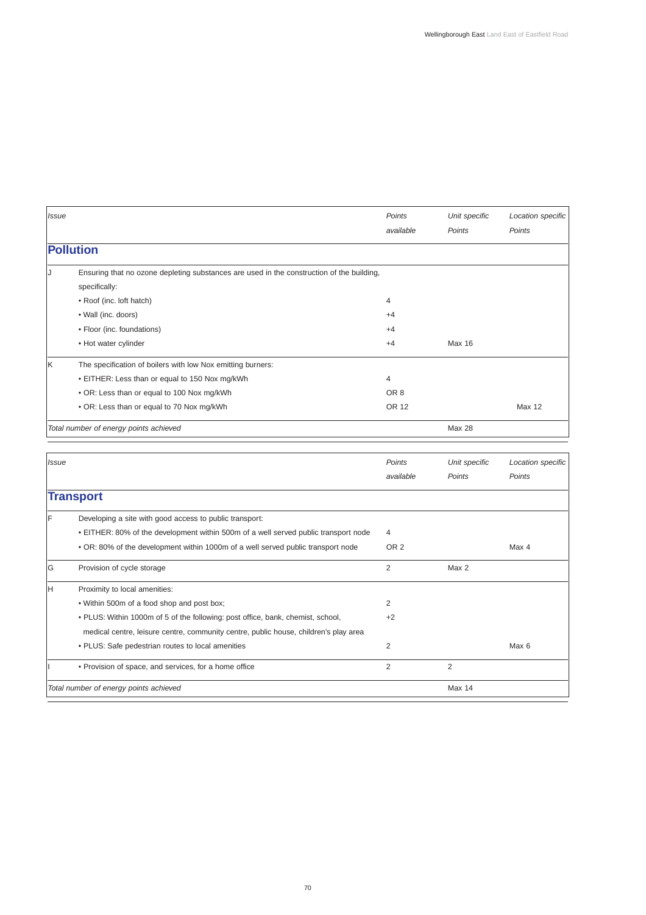| <b>Issue</b> |                                                                                           | Points          | Unit specific | Location specific |
|--------------|-------------------------------------------------------------------------------------------|-----------------|---------------|-------------------|
|              |                                                                                           | available       | Points        | Points            |
| Pollution    |                                                                                           |                 |               |                   |
| IJ           | Ensuring that no ozone depleting substances are used in the construction of the building, |                 |               |                   |
|              | specifically:                                                                             |                 |               |                   |
|              | • Roof (inc. loft hatch)                                                                  | 4               |               |                   |
|              | • Wall (inc. doors)                                                                       | $+4$            |               |                   |
|              | • Floor (inc. foundations)                                                                | $+4$            |               |                   |
|              | • Hot water cylinder                                                                      | $+4$            | Max 16        |                   |
| İΚ           | The specification of boilers with low Nox emitting burners:                               |                 |               |                   |
|              | • EITHER: Less than or equal to 150 Nox mg/kWh                                            | 4               |               |                   |
|              | . OR: Less than or equal to 100 Nox mg/kWh                                                | OR <sub>8</sub> |               |                   |
|              | • OR: Less than or equal to 70 Nox mg/kWh                                                 | OR 12           |               | <b>Max 12</b>     |
|              | Total number of energy points achieved                                                    |                 | <b>Max 28</b> |                   |

| <b>Issue</b> |                                                                                      | Points          | Unit specific  | Location specific |
|--------------|--------------------------------------------------------------------------------------|-----------------|----------------|-------------------|
|              |                                                                                      | available       | Points         | <b>Points</b>     |
|              | <b>Transport</b>                                                                     |                 |                |                   |
| IF           | Developing a site with good access to public transport:                              |                 |                |                   |
|              | • EITHER: 80% of the development within 500m of a well served public transport node  | 4               |                |                   |
|              | • OR: 80% of the development within 1000m of a well served public transport node     | OR <sub>2</sub> |                | Max 4             |
| lG           | Provision of cycle storage                                                           | 2               | Max 2          |                   |
| lн           | Proximity to local amenities:                                                        |                 |                |                   |
|              | . Within 500m of a food shop and post box;                                           | 2               |                |                   |
|              | . PLUS: Within 1000m of 5 of the following: post office, bank, chemist, school,      | $+2$            |                |                   |
|              | medical centre, leisure centre, community centre, public house, children's play area |                 |                |                   |
|              | • PLUS: Safe pedestrian routes to local amenities                                    | 2               |                | Max 6             |
|              | • Provision of space, and services, for a home office                                | $\overline{2}$  | $\overline{2}$ |                   |
|              | Total number of energy points achieved                                               |                 | Max 14         |                   |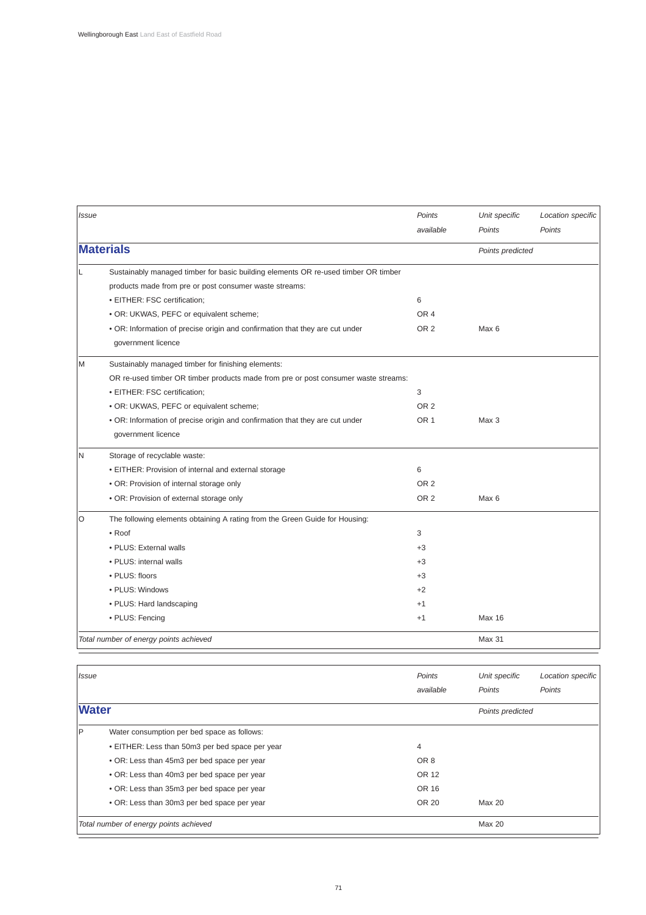| <i><b>Issue</b></i> |                                                                                                    | Points<br>available | Unit specific<br><b>Points</b> | Location specific<br>Points |
|---------------------|----------------------------------------------------------------------------------------------------|---------------------|--------------------------------|-----------------------------|
| <b>Materials</b>    |                                                                                                    |                     | Points predicted               |                             |
| IL                  | Sustainably managed timber for basic building elements OR re-used timber OR timber                 |                     |                                |                             |
|                     | products made from pre or post consumer waste streams:                                             |                     |                                |                             |
|                     | • EITHER: FSC certification;                                                                       | 6                   |                                |                             |
|                     | · OR: UKWAS, PEFC or equivalent scheme;                                                            | OR <sub>4</sub>     |                                |                             |
|                     | • OR: Information of precise origin and confirmation that they are cut under                       | OR <sub>2</sub>     | Max 6                          |                             |
|                     | government licence                                                                                 |                     |                                |                             |
| ΙM                  | Sustainably managed timber for finishing elements:                                                 |                     |                                |                             |
|                     | OR re-used timber OR timber products made from pre or post consumer waste streams:                 |                     |                                |                             |
|                     | · EITHER: FSC certification;                                                                       | 3                   |                                |                             |
|                     | • OR: UKWAS, PEFC or equivalent scheme;                                                            | OR <sub>2</sub>     |                                |                             |
|                     | • OR: Information of precise origin and confirmation that they are cut under<br>government licence | OR <sub>1</sub>     | Max 3                          |                             |
| ΙN                  | Storage of recyclable waste:                                                                       |                     |                                |                             |
|                     | · EITHER: Provision of internal and external storage                                               | 6                   |                                |                             |
|                     | . OR: Provision of internal storage only                                                           | OR <sub>2</sub>     |                                |                             |
|                     | • OR: Provision of external storage only                                                           | OR <sub>2</sub>     | Max 6                          |                             |
| lo                  | The following elements obtaining A rating from the Green Guide for Housing:                        |                     |                                |                             |
|                     | $\bullet$ Roof                                                                                     | 3                   |                                |                             |
|                     | • PLUS: External walls                                                                             | $+3$                |                                |                             |
|                     | • PLUS: internal walls                                                                             | $+3$                |                                |                             |
|                     | · PLUS: floors                                                                                     | $+3$                |                                |                             |
|                     | · PLUS: Windows                                                                                    | $+2$                |                                |                             |
|                     | • PLUS: Hard landscaping                                                                           | $+1$                |                                |                             |
|                     | · PLUS: Fencing                                                                                    | $+1$                | <b>Max 16</b>                  |                             |
|                     | Total number of energy points achieved                                                             |                     | Max 31                         |                             |

| <b>Issue</b> |                                                 | Points<br>available | Unit specific<br><b>Points</b> | Location specific<br>Points |
|--------------|-------------------------------------------------|---------------------|--------------------------------|-----------------------------|
| <b>Water</b> |                                                 |                     | Points predicted               |                             |
| lP.          | Water consumption per bed space as follows:     |                     |                                |                             |
|              | • EITHER: Less than 50m3 per bed space per year | 4                   |                                |                             |
|              | • OR: Less than 45m3 per bed space per year     | OR <sub>8</sub>     |                                |                             |
|              | • OR: Less than 40m3 per bed space per year     | OR 12               |                                |                             |
|              | • OR: Less than 35m3 per bed space per year     | OR 16               |                                |                             |
|              | • OR: Less than 30m3 per bed space per year     | OR 20               | Max 20                         |                             |
|              | Total number of energy points achieved          |                     | Max 20                         |                             |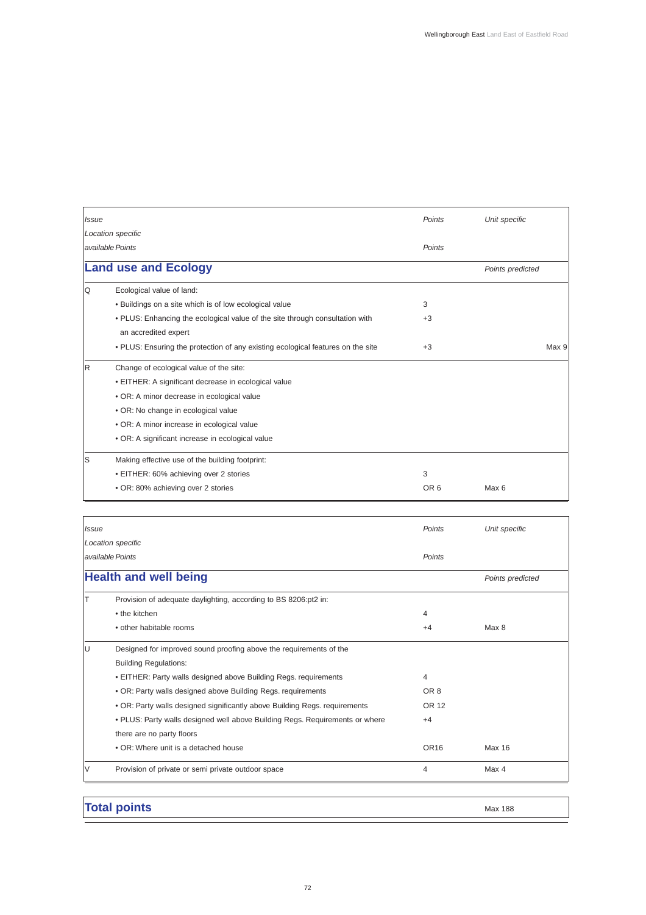| <i><b>Issue</b></i> |                                                                                 | Points          | Unit specific    |
|---------------------|---------------------------------------------------------------------------------|-----------------|------------------|
|                     | Location specific                                                               |                 |                  |
| available Points    |                                                                                 | Points          |                  |
|                     | <b>Land use and Ecology</b>                                                     |                 | Points predicted |
| Q                   | Ecological value of land:                                                       |                 |                  |
|                     | . Buildings on a site which is of low ecological value                          | 3               |                  |
|                     | . PLUS: Enhancing the ecological value of the site through consultation with    | $+3$            |                  |
|                     | an accredited expert                                                            |                 |                  |
|                     | . PLUS: Ensuring the protection of any existing ecological features on the site | $+3$            | Max 9            |
| lR.                 | Change of ecological value of the site:                                         |                 |                  |
|                     | • EITHER: A significant decrease in ecological value                            |                 |                  |
|                     | • OR: A minor decrease in ecological value                                      |                 |                  |
|                     | • OR: No change in ecological value                                             |                 |                  |
|                     | • OR: A minor increase in ecological value                                      |                 |                  |
|                     | • OR: A significant increase in ecological value                                |                 |                  |
| S                   | Making effective use of the building footprint:                                 |                 |                  |
|                     | • EITHER: 60% achieving over 2 stories                                          | 3               |                  |
|                     | • OR: 80% achieving over 2 stories                                              | OR <sub>6</sub> | Max 6            |

| Issue |                                                                              | Points           | Unit specific    |
|-------|------------------------------------------------------------------------------|------------------|------------------|
|       | Location specific                                                            |                  |                  |
|       | available Points                                                             | Points           |                  |
|       | <b>Health and well being</b>                                                 |                  | Points predicted |
| Т     | Provision of adequate daylighting, according to BS 8206:pt2 in:              |                  |                  |
|       | • the kitchen                                                                | 4                |                  |
|       | • other habitable rooms                                                      | $+4$             | Max 8            |
| lU    | Designed for improved sound proofing above the requirements of the           |                  |                  |
|       | <b>Building Regulations:</b>                                                 |                  |                  |
|       | • EITHER: Party walls designed above Building Regs. requirements             | 4                |                  |
|       | • OR: Party walls designed above Building Regs. requirements                 | OR <sub>8</sub>  |                  |
|       | . OR: Party walls designed significantly above Building Regs. requirements   | OR 12            |                  |
|       | . PLUS: Party walls designed well above Building Regs. Requirements or where | $+4$             |                  |
|       | there are no party floors                                                    |                  |                  |
|       | • OR: Where unit is a detached house                                         | OR <sub>16</sub> | Max 16           |
| V     | Provision of private or semi private outdoor space                           | 4                | Max 4            |
|       |                                                                              |                  |                  |

## **Total points** Max 188